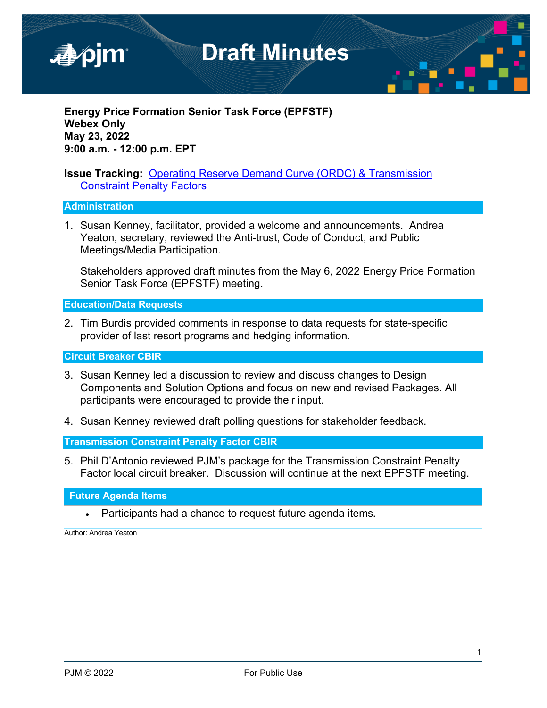

**Energy Price Formation Senior Task Force (EPFSTF) Webex Only May 23, 2022 9:00 a.m. - 12:00 p.m. EPT**

#### **Issue Tracking:** [Operating Reserve Demand Curve \(ORDC\) & Transmission](https://pjm.com/committees-and-groups/issue-tracking/issue-tracking-details.aspx?Issue=783a272c-b870-4e19-a44f-b5c92e806512)  [Constraint Penalty Factors](https://pjm.com/committees-and-groups/issue-tracking/issue-tracking-details.aspx?Issue=783a272c-b870-4e19-a44f-b5c92e806512)

#### **Administration**

1. Susan Kenney, facilitator, provided a welcome and announcements. Andrea Yeaton, secretary, reviewed the Anti-trust, Code of Conduct, and Public Meetings/Media Participation.

Stakeholders approved draft minutes from the May 6, 2022 Energy Price Formation Senior Task Force (EPFSTF) meeting.

**Education/Data Requests** 

2. Tim Burdis provided comments in response to data requests for state-specific provider of last resort programs and hedging information.

**Circuit Breaker CBIR**

- 3. Susan Kenney led a discussion to review and discuss changes to Design Components and Solution Options and focus on new and revised Packages. All participants were encouraged to provide their input.
- 4. Susan Kenney reviewed draft polling questions for stakeholder feedback.

**Transmission Constraint Penalty Factor CBIR**

5. Phil D'Antonio reviewed PJM's package for the Transmission Constraint Penalty Factor local circuit breaker. Discussion will continue at the next EPFSTF meeting.

**Future Agenda Items** 

• Participants had a chance to request future agenda items**.**

Author: Andrea Yeaton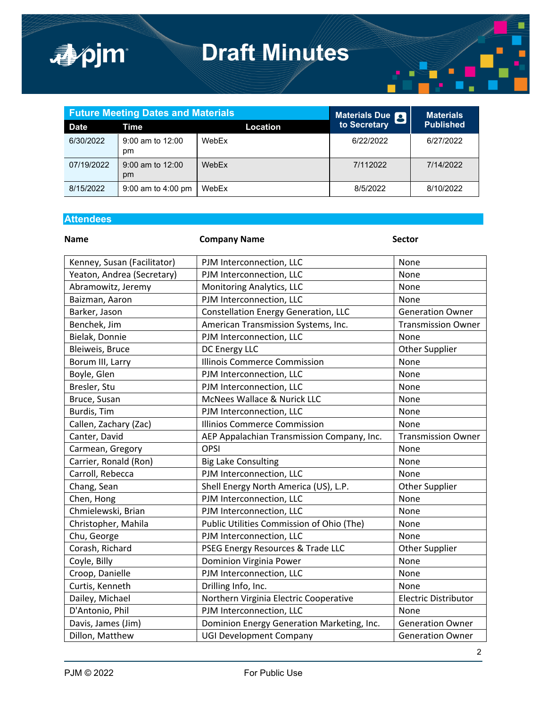

|             | <b>Future Meeting Dates and Materials</b> | Materials Due <b>Q</b> | <b>Materials</b> |                  |
|-------------|-------------------------------------------|------------------------|------------------|------------------|
| <b>Date</b> | Time                                      | Location               | to Secretary     | <b>Published</b> |
| 6/30/2022   | $9:00$ am to 12:00<br>pm                  | WebEx                  | 6/22/2022        | 6/27/2022        |
| 07/19/2022  | $9:00$ am to 12:00<br>pm                  | WebEx                  | 7/112022         | 7/14/2022        |
| 8/15/2022   | 9:00 am to $4:00 \text{ pm}$              | WebEx                  | 8/5/2022         | 8/10/2022        |

### **Attendees**

| <b>Name</b>                 | <b>Company Name</b>                        | <b>Sector</b>               |
|-----------------------------|--------------------------------------------|-----------------------------|
| Kenney, Susan (Facilitator) | PJM Interconnection, LLC                   | None                        |
| Yeaton, Andrea (Secretary)  | PJM Interconnection, LLC                   | None                        |
| Abramowitz, Jeremy          | Monitoring Analytics, LLC                  | None                        |
| Baizman, Aaron              | PJM Interconnection, LLC                   | None                        |
| Barker, Jason               | Constellation Energy Generation, LLC       | <b>Generation Owner</b>     |
| Benchek, Jim                | American Transmission Systems, Inc.        | <b>Transmission Owner</b>   |
| Bielak, Donnie              | PJM Interconnection, LLC                   | None                        |
| Bleiweis, Bruce             | DC Energy LLC                              | <b>Other Supplier</b>       |
| Borum III, Larry            | <b>Illinois Commerce Commission</b>        | None                        |
| Boyle, Glen                 | PJM Interconnection, LLC                   | None                        |
| Bresler, Stu                | PJM Interconnection, LLC                   | None                        |
| Bruce, Susan                | McNees Wallace & Nurick LLC                | None                        |
| Burdis, Tim                 | PJM Interconnection, LLC                   | None                        |
| Callen, Zachary (Zac)       | <b>Illinios Commerce Commission</b>        | None                        |
| Canter, David               | AEP Appalachian Transmission Company, Inc. | <b>Transmission Owner</b>   |
| Carmean, Gregory            | <b>OPSI</b>                                | None                        |
| Carrier, Ronald (Ron)       | <b>Big Lake Consulting</b>                 | None                        |
| Carroll, Rebecca            | PJM Interconnection, LLC                   | None                        |
| Chang, Sean                 | Shell Energy North America (US), L.P.      | <b>Other Supplier</b>       |
| Chen, Hong                  | PJM Interconnection, LLC                   | None                        |
| Chmielewski, Brian          | PJM Interconnection, LLC                   | None                        |
| Christopher, Mahila         | Public Utilities Commission of Ohio (The)  | None                        |
| Chu, George                 | PJM Interconnection, LLC                   | None                        |
| Corash, Richard             | PSEG Energy Resources & Trade LLC          | <b>Other Supplier</b>       |
| Coyle, Billy                | Dominion Virginia Power                    | None                        |
| Croop, Danielle             | PJM Interconnection, LLC                   | None                        |
| Curtis, Kenneth             | Drilling Info, Inc.                        | None                        |
| Dailey, Michael             | Northern Virginia Electric Cooperative     | <b>Electric Distributor</b> |
| D'Antonio, Phil             | PJM Interconnection, LLC                   | None                        |
| Davis, James (Jim)          | Dominion Energy Generation Marketing, Inc. | <b>Generation Owner</b>     |
| Dillon, Matthew             | <b>UGI Development Company</b>             | <b>Generation Owner</b>     |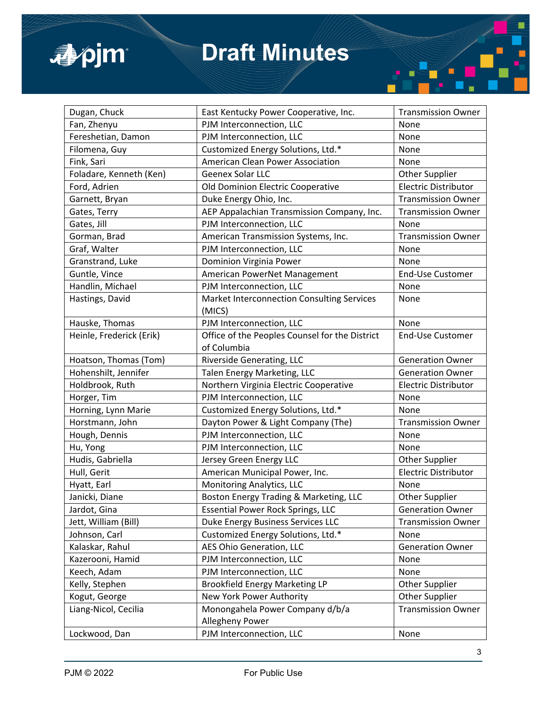

| Dugan, Chuck             | East Kentucky Power Cooperative, Inc.              | <b>Transmission Owner</b>   |
|--------------------------|----------------------------------------------------|-----------------------------|
| Fan, Zhenyu              | PJM Interconnection, LLC                           | None                        |
| Fereshetian, Damon       | PJM Interconnection, LLC                           | None                        |
| Filomena, Guy            | Customized Energy Solutions, Ltd.*                 | None                        |
| Fink, Sari               | <b>American Clean Power Association</b>            | None                        |
| Foladare, Kenneth (Ken)  | Geenex Solar LLC                                   | <b>Other Supplier</b>       |
| Ford, Adrien             | Old Dominion Electric Cooperative                  | <b>Electric Distributor</b> |
| Garnett, Bryan           | Duke Energy Ohio, Inc.                             | <b>Transmission Owner</b>   |
| Gates, Terry             | AEP Appalachian Transmission Company, Inc.         | <b>Transmission Owner</b>   |
| Gates, Jill              | PJM Interconnection, LLC                           | None                        |
| Gorman, Brad             | American Transmission Systems, Inc.                | <b>Transmission Owner</b>   |
| Graf, Walter             | PJM Interconnection, LLC                           | None                        |
| Granstrand, Luke         | Dominion Virginia Power                            | None                        |
| Guntle, Vince            | American PowerNet Management                       | <b>End-Use Customer</b>     |
| Handlin, Michael         | PJM Interconnection, LLC                           | None                        |
| Hastings, David          | Market Interconnection Consulting Services         | None                        |
|                          | (MICS)                                             |                             |
| Hauske, Thomas           | PJM Interconnection, LLC                           | None                        |
| Heinle, Frederick (Erik) | Office of the Peoples Counsel for the District     | End-Use Customer            |
|                          | of Columbia                                        |                             |
| Hoatson, Thomas (Tom)    | Riverside Generating, LLC                          | <b>Generation Owner</b>     |
| Hohenshilt, Jennifer     | Talen Energy Marketing, LLC                        | <b>Generation Owner</b>     |
| Holdbrook, Ruth          | Northern Virginia Electric Cooperative             | <b>Electric Distributor</b> |
| Horger, Tim              | PJM Interconnection, LLC                           | None                        |
| Horning, Lynn Marie      | Customized Energy Solutions, Ltd.*                 | None                        |
| Horstmann, John          | Dayton Power & Light Company (The)                 | <b>Transmission Owner</b>   |
| Hough, Dennis            | PJM Interconnection, LLC                           | None                        |
| Hu, Yong                 | PJM Interconnection, LLC                           | None                        |
| Hudis, Gabriella         | Jersey Green Energy LLC                            | <b>Other Supplier</b>       |
| Hull, Gerit              | American Municipal Power, Inc.                     | <b>Electric Distributor</b> |
| Hyatt, Earl              | <b>Monitoring Analytics, LLC</b>                   | None                        |
| Janicki, Diane           | Boston Energy Trading & Marketing, LLC             | Other Supplier              |
| Jardot, Gina             | <b>Essential Power Rock Springs, LLC</b>           | <b>Generation Owner</b>     |
| Jett, William (Bill)     | Duke Energy Business Services LLC                  | <b>Transmission Owner</b>   |
| Johnson, Carl            | Customized Energy Solutions, Ltd.*                 | None                        |
| Kalaskar, Rahul          | AES Ohio Generation, LLC                           | <b>Generation Owner</b>     |
| Kazerooni, Hamid         | PJM Interconnection, LLC                           | None                        |
| Keech, Adam              | PJM Interconnection, LLC                           | None                        |
| Kelly, Stephen           | <b>Brookfield Energy Marketing LP</b>              | Other Supplier              |
| Kogut, George            | New York Power Authority                           | <b>Other Supplier</b>       |
| Liang-Nicol, Cecilia     | Monongahela Power Company d/b/a<br>Allegheny Power | <b>Transmission Owner</b>   |
| Lockwood, Dan            | PJM Interconnection, LLC                           | None                        |
|                          |                                                    |                             |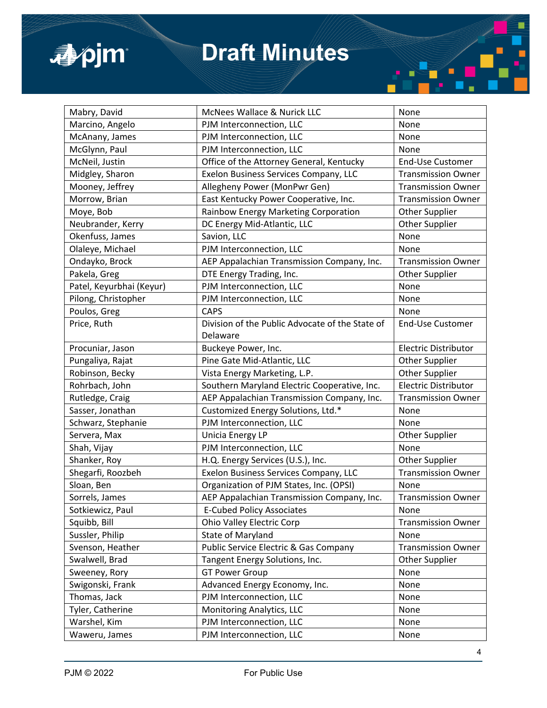

| Mabry, David             | McNees Wallace & Nurick LLC                     | None                        |
|--------------------------|-------------------------------------------------|-----------------------------|
| Marcino, Angelo          | PJM Interconnection, LLC                        | None                        |
| McAnany, James           | PJM Interconnection, LLC                        | None                        |
| McGlynn, Paul            | PJM Interconnection, LLC                        | None                        |
| McNeil, Justin           | Office of the Attorney General, Kentucky        | <b>End-Use Customer</b>     |
| Midgley, Sharon          | Exelon Business Services Company, LLC           | <b>Transmission Owner</b>   |
| Mooney, Jeffrey          | Allegheny Power (MonPwr Gen)                    | <b>Transmission Owner</b>   |
| Morrow, Brian            | East Kentucky Power Cooperative, Inc.           | <b>Transmission Owner</b>   |
| Moye, Bob                | Rainbow Energy Marketing Corporation            | Other Supplier              |
| Neubrander, Kerry        | DC Energy Mid-Atlantic, LLC                     | <b>Other Supplier</b>       |
| Okenfuss, James          | Savion, LLC                                     | None                        |
| Olaleye, Michael         | PJM Interconnection, LLC                        | None                        |
| Ondayko, Brock           | AEP Appalachian Transmission Company, Inc.      | <b>Transmission Owner</b>   |
| Pakela, Greg             | DTE Energy Trading, Inc.                        | <b>Other Supplier</b>       |
| Patel, Keyurbhai (Keyur) | PJM Interconnection, LLC                        | None                        |
| Pilong, Christopher      | PJM Interconnection, LLC                        | None                        |
| Poulos, Greg             | <b>CAPS</b>                                     | None                        |
| Price, Ruth              | Division of the Public Advocate of the State of | <b>End-Use Customer</b>     |
|                          | Delaware                                        |                             |
| Procuniar, Jason         | Buckeye Power, Inc.                             | <b>Electric Distributor</b> |
| Pungaliya, Rajat         | Pine Gate Mid-Atlantic, LLC                     | Other Supplier              |
| Robinson, Becky          | Vista Energy Marketing, L.P.                    | <b>Other Supplier</b>       |
| Rohrbach, John           | Southern Maryland Electric Cooperative, Inc.    | <b>Electric Distributor</b> |
| Rutledge, Craig          | AEP Appalachian Transmission Company, Inc.      | <b>Transmission Owner</b>   |
| Sasser, Jonathan         | Customized Energy Solutions, Ltd.*              | None                        |
| Schwarz, Stephanie       | PJM Interconnection, LLC                        | None                        |
| Servera, Max             | <b>Unicia Energy LP</b>                         | <b>Other Supplier</b>       |
| Shah, Vijay              | PJM Interconnection, LLC                        | None                        |
| Shanker, Roy             | H.Q. Energy Services (U.S.), Inc.               | Other Supplier              |
| Shegarfi, Roozbeh        | Exelon Business Services Company, LLC           | <b>Transmission Owner</b>   |
| Sloan, Ben               | Organization of PJM States, Inc. (OPSI)         | None                        |
| Sorrels, James           | AEP Appalachian Transmission Company, Inc.      | <b>Transmission Owner</b>   |
| Sotkiewicz, Paul         | <b>E-Cubed Policy Associates</b>                | None                        |
| Squibb, Bill             | <b>Ohio Valley Electric Corp</b>                | <b>Transmission Owner</b>   |
| Sussler, Philip          | State of Maryland                               | None                        |
| Svenson, Heather         | Public Service Electric & Gas Company           | <b>Transmission Owner</b>   |
| Swalwell, Brad           | Tangent Energy Solutions, Inc.                  | Other Supplier              |
| Sweeney, Rory            | <b>GT Power Group</b>                           | None                        |
| Swigonski, Frank         | Advanced Energy Economy, Inc.                   | None                        |
| Thomas, Jack             | PJM Interconnection, LLC                        | None                        |
| Tyler, Catherine         | Monitoring Analytics, LLC                       | None                        |
| Warshel, Kim             | PJM Interconnection, LLC                        | None                        |
| Waweru, James            | PJM Interconnection, LLC                        | None                        |